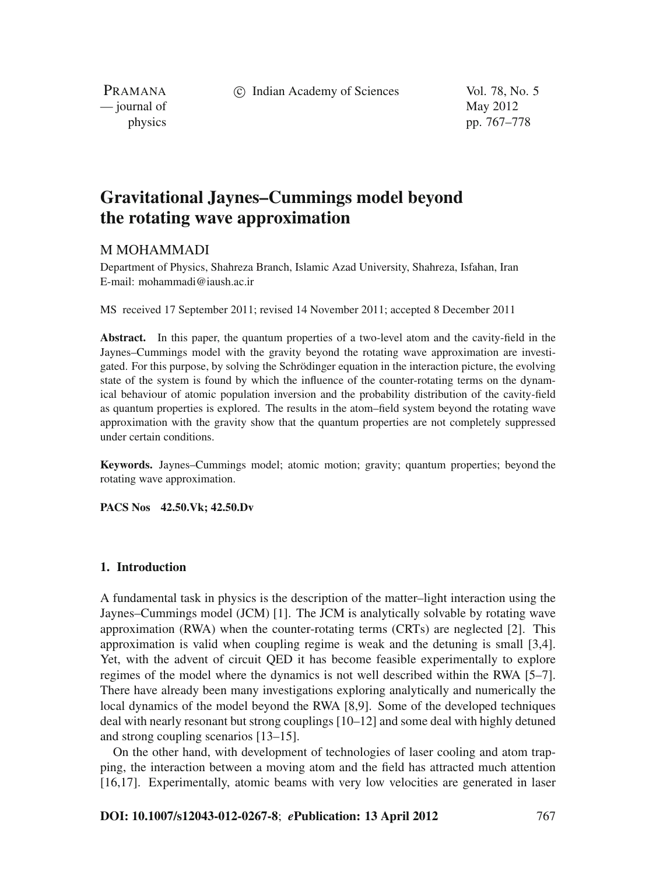c Indian Academy of Sciences Vol. 78, No. 5

PRAMANA  $\frac{1}{2}$  journal of May 2012

physics pp. 767–778

# **Gravitational Jaynes–Cummings model beyond the rotating wave approximation**

# M MOHAMMADI

Department of Physics, Shahreza Branch, Islamic Azad University, Shahreza, Isfahan, Iran E-mail: mohammadi@iaush.ac.ir

MS received 17 September 2011; revised 14 November 2011; accepted 8 December 2011

**Abstract.** In this paper, the quantum properties of a two-level atom and the cavity-field in the Jaynes–Cummings model with the gravity beyond the rotating wave approximation are investigated. For this purpose, by solving the Schrödinger equation in the interaction picture, the evolving state of the system is found by which the influence of the counter-rotating terms on the dynamical behaviour of atomic population inversion and the probability distribution of the cavity-field as quantum properties is explored. The results in the atom–field system beyond the rotating wave approximation with the gravity show that the quantum properties are not completely suppressed under certain conditions.

**Keywords.** Jaynes–Cummings model; atomic motion; gravity; quantum properties; beyond the rotating wave approximation.

**PACS Nos 42.50.Vk; 42.50.Dv**

### **1. Introduction**

A fundamental task in physics is the description of the matter–light interaction using the Jaynes–Cummings model (JCM) [1]. The JCM is analytically solvable by rotating wave approximation (RWA) when the counter-rotating terms (CRTs) are neglected [2]. This approximation is valid when coupling regime is weak and the detuning is small [3,4]. Yet, with the advent of circuit QED it has become feasible experimentally to explore regimes of the model where the dynamics is not well described within the RWA [5–7]. There have already been many investigations exploring analytically and numerically the local dynamics of the model beyond the RWA [8,9]. Some of the developed techniques deal with nearly resonant but strong couplings [10–12] and some deal with highly detuned and strong coupling scenarios [13–15].

On the other hand, with development of technologies of laser cooling and atom trapping, the interaction between a moving atom and the field has attracted much attention [16,17]. Experimentally, atomic beams with very low velocities are generated in laser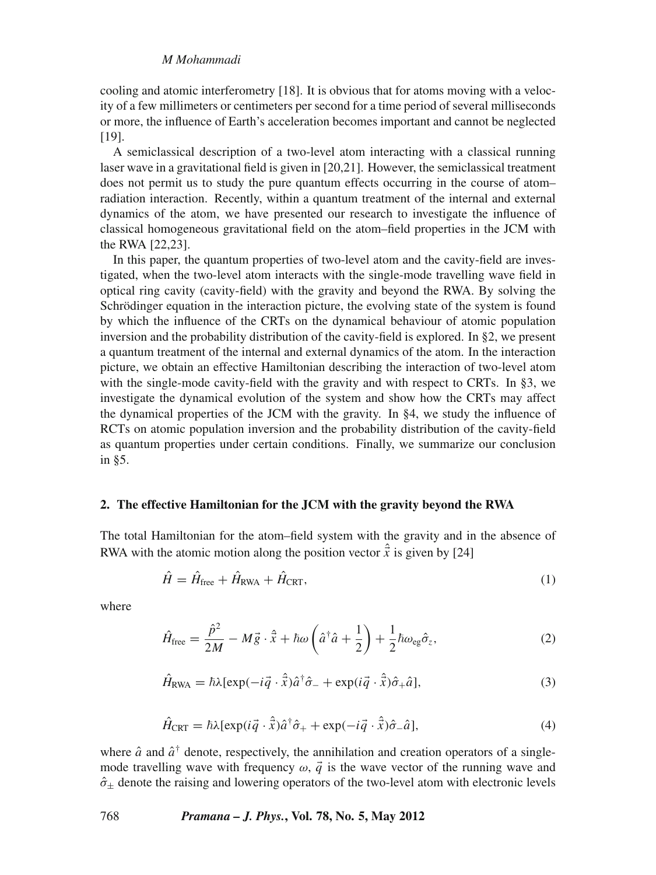# *M Mohammadi*

cooling and atomic interferometry [18]. It is obvious that for atoms moving with a velocity of a few millimeters or centimeters per second for a time period of several milliseconds or more, the influence of Earth's acceleration becomes important and cannot be neglected [19].

A semiclassical description of a two-level atom interacting with a classical running laser wave in a gravitational field is given in [20,21]. However, the semiclassical treatment does not permit us to study the pure quantum effects occurring in the course of atom– radiation interaction. Recently, within a quantum treatment of the internal and external dynamics of the atom, we have presented our research to investigate the influence of classical homogeneous gravitational field on the atom–field properties in the JCM with the RWA [22,23].

In this paper, the quantum properties of two-level atom and the cavity-field are investigated, when the two-level atom interacts with the single-mode travelling wave field in optical ring cavity (cavity-field) with the gravity and beyond the RWA. By solving the Schrödinger equation in the interaction picture, the evolving state of the system is found by which the influence of the CRTs on the dynamical behaviour of atomic population inversion and the probability distribution of the cavity-field is explored. In §2, we present a quantum treatment of the internal and external dynamics of the atom. In the interaction picture, we obtain an effective Hamiltonian describing the interaction of two-level atom with the single-mode cavity-field with the gravity and with respect to CRTs. In §3, we investigate the dynamical evolution of the system and show how the CRTs may affect the dynamical properties of the JCM with the gravity. In §4, we study the influence of RCTs on atomic population inversion and the probability distribution of the cavity-field as quantum properties under certain conditions. Finally, we summarize our conclusion in §5.

#### **2. The effective Hamiltonian for the JCM with the gravity beyond the RWA**

The total Hamiltonian for the atom–field system with the gravity and in the absence of RWA with the atomic motion along the position vector  $\hat{\vec{x}}$  is given by [24]

$$
\hat{H} = \hat{H}_{\text{free}} + \hat{H}_{\text{RWA}} + \hat{H}_{\text{CRT}},\tag{1}
$$

where

$$
\hat{H}_{\text{free}} = \frac{\hat{p}^2}{2M} - M\vec{g} \cdot \hat{\vec{x}} + \hbar \omega \left(\hat{a}^\dagger \hat{a} + \frac{1}{2}\right) + \frac{1}{2}\hbar \omega_{\text{eg}} \hat{\sigma}_z,\tag{2}
$$

$$
\hat{H}_{\text{RWA}} = \hbar \lambda [\exp(-i\vec{q} \cdot \hat{\vec{x}})\hat{a}^{\dagger}\hat{\sigma}_{-} + \exp(i\vec{q} \cdot \hat{\vec{x}})\hat{\sigma}_{+}\hat{a}], \tag{3}
$$

$$
\hat{H}_{\text{CRT}} = \hbar \lambda [\exp(i\vec{q} \cdot \hat{\vec{x}})\hat{a}^{\dagger}\hat{\sigma}_{+} + \exp(-i\vec{q} \cdot \hat{\vec{x}})\hat{\sigma}_{-}\hat{a}], \tag{4}
$$

where  $\hat{a}$  and  $\hat{a}^{\dagger}$  denote, respectively, the annihilation and creation operators of a singlemode travelling wave with frequency  $\omega$ ,  $\vec{q}$  is the wave vector of the running wave and  $\hat{\sigma}_+$  denote the raising and lowering operators of the two-level atom with electronic levels

#### 768 *Pramana – J. Phys.***, Vol. 78, No. 5, May 2012**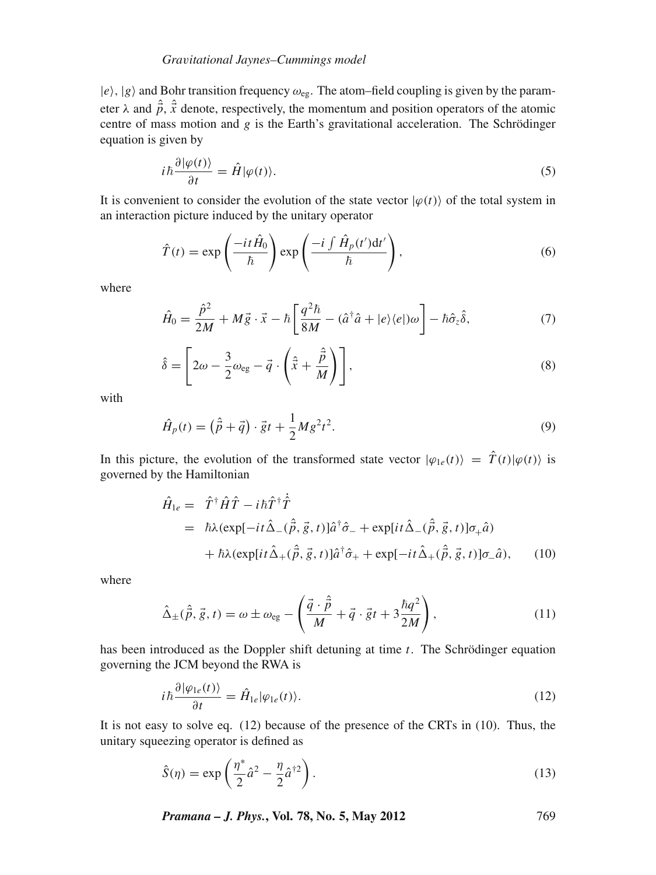# *Gra*v*itational Jaynes–Cummings model*

 $|e\rangle$ ,  $|g\rangle$  and Bohr transition frequency  $\omega_{eg}$ . The atom–field coupling is given by the parameter  $\lambda$  and  $\hat{\vec{p}}$ ,  $\hat{\vec{x}}$  denote, respectively, the momentum and position operators of the atomic centre of mass motion and *g* is the Earth's gravitational acceleration. The Schrödinger equation is given by

$$
i\hbar \frac{\partial |\varphi(t)\rangle}{\partial t} = \hat{H} |\varphi(t)\rangle.
$$
 (5)

It is convenient to consider the evolution of the state vector  $|\varphi(t)\rangle$  of the total system in an interaction picture induced by the unitary operator

$$
\hat{T}(t) = \exp\left(\frac{-it\hat{H}_0}{\hbar}\right) \exp\left(\frac{-i\int \hat{H}_p(t')dt'}{\hbar}\right),\tag{6}
$$

where

$$
\hat{H}_0 = \frac{\hat{p}^2}{2M} + M\vec{g} \cdot \vec{x} - \hbar \left[ \frac{q^2 \hbar}{8M} - (\hat{a}^\dagger \hat{a} + |e\rangle\langle e|)\omega \right] - \hbar \hat{\sigma}_z \hat{\delta},\tag{7}
$$

$$
\hat{\delta} = \left[2\omega - \frac{3}{2}\omega_{eg} - \vec{q}\cdot\left(\hat{\vec{x}} + \frac{\hat{\vec{p}}}{M}\right)\right],\tag{8}
$$

with

$$
\hat{H}_p(t) = (\hat{\vec{p}} + \vec{q}) \cdot \vec{g}t + \frac{1}{2}Mg^2t^2.
$$
\n(9)

In this picture, the evolution of the transformed state vector  $|\varphi_{1e}(t)\rangle = \hat{T}(t)|\varphi(t)\rangle$  is governed by the Hamiltonian

$$
\hat{H}_{1e} = \hat{T}^{\dagger} \hat{H} \hat{T} - i\hbar \hat{T}^{\dagger} \hat{T}
$$
\n
$$
= \hbar \lambda (\exp[-it\hat{\Delta}_{-}(\hat{\vec{p}}, \vec{g}, t)] \hat{a}^{\dagger} \hat{\sigma}_{-} + \exp[it\hat{\Delta}_{-}(\hat{\vec{p}}, \vec{g}, t)] \sigma_{+} \hat{a})
$$
\n
$$
+ \hbar \lambda (\exp[it\hat{\Delta}_{+}(\hat{\vec{p}}, \vec{g}, t)] \hat{a}^{\dagger} \hat{\sigma}_{+} + \exp[-it\hat{\Delta}_{+}(\hat{\vec{p}}, \vec{g}, t)] \sigma_{-} \hat{a}), \qquad (10)
$$

where

$$
\hat{\Delta}_{\pm}(\hat{\vec{p}}, \vec{g}, t) = \omega \pm \omega_{eg} - \left(\frac{\vec{q} \cdot \hat{\vec{p}}}{M} + \vec{q} \cdot \vec{g}t + 3\frac{\hbar q^2}{2M}\right),\tag{11}
$$

has been introduced as the Doppler shift detuning at time *t*. The Schrödinger equation governing the JCM beyond the RWA is

$$
i\hbar \frac{\partial |\varphi_{1e}(t)\rangle}{\partial t} = \hat{H}_{1e} |\varphi_{1e}(t)\rangle.
$$
 (12)

It is not easy to solve eq. (12) because of the presence of the CRTs in (10). Thus, the unitary squeezing operator is defined as

$$
\hat{S}(\eta) = \exp\left(\frac{\eta^*}{2}\hat{a}^2 - \frac{\eta}{2}\hat{a}^{\dagger 2}\right).
$$
\n(13)

*Pramana – J. Phys.***, Vol. 78, No. 5, May 2012** 769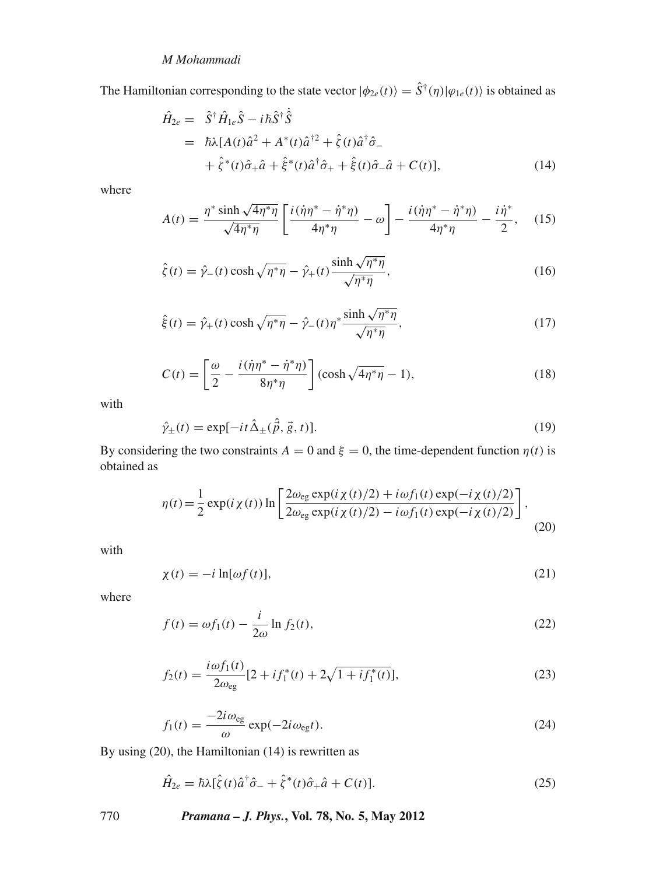The Hamiltonian corresponding to the state vector  $|\phi_{2e}(t)\rangle = \hat{S}^{\dagger}(\eta)|\phi_{1e}(t)\rangle$  is obtained as

$$
\hat{H}_{2e} = \hat{S}^{\dagger} \hat{H}_{1e} \hat{S} - i\hbar \hat{S}^{\dagger} \dot{\hat{S}} \n= \hbar \lambda [A(t)\hat{a}^2 + A^*(t)\hat{a}^{\dagger 2} + \hat{\zeta}(t)\hat{a}^{\dagger} \hat{\sigma}_- \n+ \hat{\zeta}^*(t)\hat{\sigma}_+ \hat{a} + \hat{\xi}^*(t)\hat{a}^{\dagger} \hat{\sigma}_+ + \hat{\xi}(t)\hat{\sigma}_- \hat{a} + C(t)],
$$
\n(14)

where

$$
A(t) = \frac{\eta^* \sinh \sqrt{4\eta^*\eta}}{\sqrt{4\eta^*\eta}} \left[ \frac{i(\dot{\eta}\eta^* - \dot{\eta}^*\eta)}{4\eta^*\eta} - \omega \right] - \frac{i(\dot{\eta}\eta^* - \dot{\eta}^*\eta)}{4\eta^*\eta} - \frac{i\dot{\eta}^*}{2}, \quad (15)
$$

$$
\hat{\zeta}(t) = \hat{\gamma}_-(t) \cosh\sqrt{\eta^*\eta} - \hat{\gamma}_+(t) \frac{\sinh\sqrt{\eta^*\eta}}{\sqrt{\eta^*\eta}},
$$
\n(16)

$$
\hat{\xi}(t) = \hat{\gamma}_+(t) \cosh\sqrt{\eta^*\eta} - \hat{\gamma}_-(t)\eta^*\frac{\sinh\sqrt{\eta^*\eta}}{\sqrt{\eta^*\eta}},
$$
\n(17)

$$
C(t) = \left[\frac{\omega}{2} - \frac{i(\dot{\eta}\eta^* - \dot{\eta}^*\eta)}{8\eta^*\eta}\right] (\cosh\sqrt{4\eta^*\eta} - 1),\tag{18}
$$

with

$$
\hat{\gamma}_{\pm}(t) = \exp[-it\hat{\Delta}_{\pm}(\hat{\vec{p}}, \vec{g}, t)].\tag{19}
$$

By considering the two constraints  $A = 0$  and  $\xi = 0$ , the time-dependent function  $\eta(t)$  is obtained as

$$
\eta(t) = \frac{1}{2} \exp(i\chi(t)) \ln \left[ \frac{2\omega_{eg} \exp(i\chi(t)/2) + i\omega f_1(t) \exp(-i\chi(t)/2)}{2\omega_{eg} \exp(i\chi(t)/2) - i\omega f_1(t) \exp(-i\chi(t)/2)} \right],
$$
\n(20)

with

$$
\chi(t) = -i \ln[\omega f(t)],\tag{21}
$$

where

$$
f(t) = \omega f_1(t) - \frac{i}{2\omega} \ln f_2(t),\tag{22}
$$

$$
f_2(t) = \frac{i\omega f_1(t)}{2\omega_{eg}} [2 + i f_1^*(t) + 2\sqrt{1 + i f_1^*(t)}],
$$
\n(23)

$$
f_1(t) = \frac{-2i\omega_{eg}}{\omega} \exp(-2i\omega_{eg}t). \tag{24}
$$

By using (20), the Hamiltonian (14) is rewritten as

$$
\hat{H}_{2e} = \hbar\lambda[\hat{\zeta}(t)\hat{a}^\dagger\hat{\sigma}_- + \hat{\zeta}^*(t)\hat{\sigma}_+\hat{a} + C(t)].\tag{25}
$$

770 *Pramana – J. Phys.***, Vol. 78, No. 5, May 2012**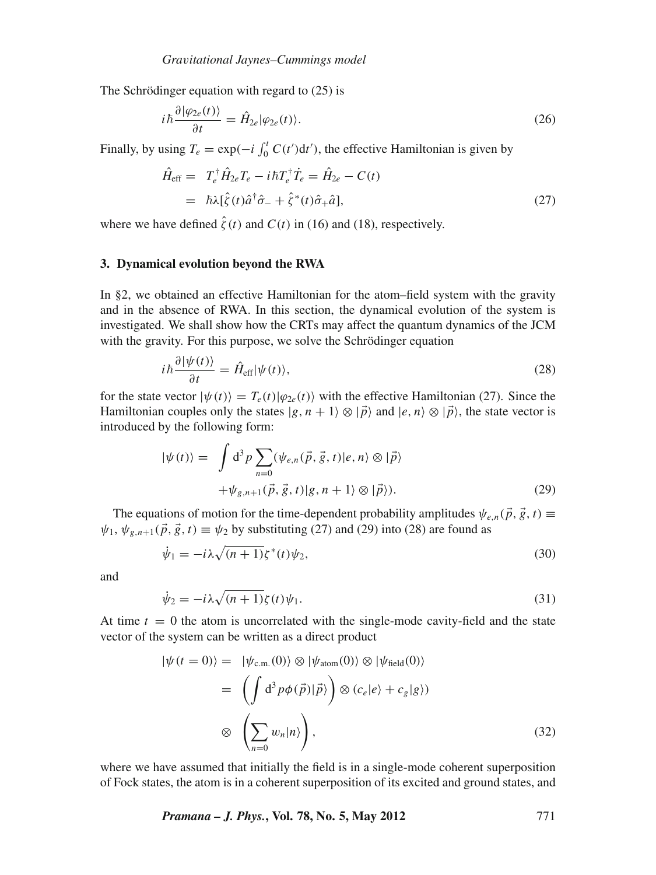The Schrödinger equation with regard to  $(25)$  is

$$
i\hbar \frac{\partial |\varphi_{2e}(t)\rangle}{\partial t} = \hat{H}_{2e} |\varphi_{2e}(t)\rangle.
$$
 (26)

Finally, by using  $T_e = \exp(-i \int_0^t C(t') dt')$ , the effective Hamiltonian is given by

$$
\hat{H}_{\text{eff}} = T_e^{\dagger} \hat{H}_{2e} T_e - i\hbar T_e^{\dagger} \dot{T}_e = \hat{H}_{2e} - C(t) \n= \hbar \lambda [\hat{\zeta}(t) \hat{a}^{\dagger} \hat{\sigma}_- + \hat{\zeta}^*(t) \hat{\sigma}_+ \hat{a}],
$$
\n(27)

where we have defined  $\hat{\zeta}(t)$  and  $C(t)$  in (16) and (18), respectively.

# **3. Dynamical evolution beyond the RWA**

In §2, we obtained an effective Hamiltonian for the atom–field system with the gravity and in the absence of RWA. In this section, the dynamical evolution of the system is investigated. We shall show how the CRTs may affect the quantum dynamics of the JCM with the gravity. For this purpose, we solve the Schrödinger equation

$$
i\hbar \frac{\partial |\psi(t)\rangle}{\partial t} = \hat{H}_{\text{eff}} |\psi(t)\rangle, \tag{28}
$$

for the state vector  $|\psi(t)\rangle = T_e(t)|\varphi_{2e}(t)\rangle$  with the effective Hamiltonian (27). Since the Hamiltonian couples only the states  $|g, n + 1\rangle \otimes |\vec{p}\rangle$  and  $|e, n\rangle \otimes |\vec{p}\rangle$ , the state vector is introduced by the following form:

$$
|\psi(t)\rangle = \int d^3p \sum_{n=0} (\psi_{e,n}(\vec{p}, \vec{g}, t)|e, n\rangle \otimes |\vec{p}\rangle
$$
  
+  $\psi_{g,n+1}(\vec{p}, \vec{g}, t)|g, n+1\rangle \otimes |\vec{p}\rangle).$  (29)

The equations of motion for the time-dependent probability amplitudes  $\psi_{e,n}(\vec{p}, \vec{g}, t) \equiv$  $\psi_1, \psi_{g,n+1}(\vec{p}, \vec{g}, t) \equiv \psi_2$  by substituting (27) and (29) into (28) are found as

$$
\dot{\psi}_1 = -i\lambda \sqrt{(n+1)} \zeta^*(t) \psi_2,\tag{30}
$$

and

$$
\dot{\psi}_2 = -i\lambda \sqrt{(n+1)} \zeta(t) \psi_1. \tag{31}
$$

At time  $t = 0$  the atom is uncorrelated with the single-mode cavity-field and the state vector of the system can be written as a direct product

$$
|\psi(t=0)\rangle = |\psi_{c.m.}(0)\rangle \otimes |\psi_{atom}(0)\rangle \otimes |\psi_{field}(0)\rangle
$$
  

$$
= \left(\int d^3 p \phi(\vec{p})|\vec{p}\rangle\right) \otimes (c_e|e\rangle + c_g|g\rangle)
$$
  

$$
\otimes \left(\sum_{n=0} w_n|n\rangle\right), \qquad (32)
$$

where we have assumed that initially the field is in a single-mode coherent superposition of Fock states, the atom is in a coherent superposition of its excited and ground states, and

*Pramana – J. Phys.***, Vol. 78, No. 5, May 2012** 771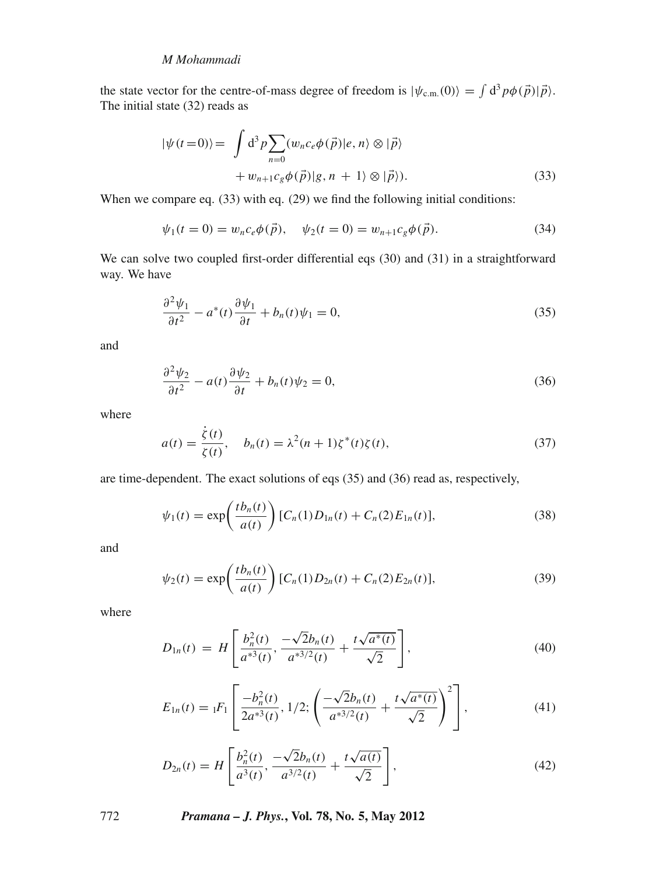# *M Mohammadi*

the state vector for the centre-of-mass degree of freedom is  $|\psi_{c.m.}(0)\rangle = \int d^3p \phi(\vec{p})|\vec{p}\rangle$ . The initial state (32) reads as

$$
|\psi(t=0)\rangle = \int d^3p \sum_{n=0} (w_n c_e \phi(\vec{p})|e, n\rangle \otimes |\vec{p}\rangle + w_{n+1} c_g \phi(\vec{p})|g, n+1\rangle \otimes |\vec{p}\rangle).
$$
 (33)

When we compare eq. (33) with eq. (29) we find the following initial conditions:

$$
\psi_1(t=0) = w_n c_e \phi(\vec{p}), \quad \psi_2(t=0) = w_{n+1} c_g \phi(\vec{p}). \tag{34}
$$

We can solve two coupled first-order differential eqs (30) and (31) in a straightforward way. We have

$$
\frac{\partial^2 \psi_1}{\partial t^2} - a^*(t) \frac{\partial \psi_1}{\partial t} + b_n(t) \psi_1 = 0,
$$
\n(35)

and

$$
\frac{\partial^2 \psi_2}{\partial t^2} - a(t) \frac{\partial \psi_2}{\partial t} + b_n(t) \psi_2 = 0, \tag{36}
$$

where

$$
a(t) = \frac{\dot{\zeta}(t)}{\zeta(t)}, \quad b_n(t) = \lambda^2 (n+1) \zeta^*(t) \zeta(t), \tag{37}
$$

are time-dependent. The exact solutions of eqs (35) and (36) read as, respectively,

$$
\psi_1(t) = \exp\left(\frac{t b_n(t)}{a(t)}\right) [C_n(1) D_{1n}(t) + C_n(2) E_{1n}(t)],\tag{38}
$$

and

$$
\psi_2(t) = \exp\left(\frac{t b_n(t)}{a(t)}\right) [C_n(1) D_{2n}(t) + C_n(2) E_{2n}(t)],\tag{39}
$$

where

$$
D_{1n}(t) = H\left[\frac{b_n^2(t)}{a^{*3}(t)}, \frac{-\sqrt{2}b_n(t)}{a^{*3/2}(t)} + \frac{t\sqrt{a^*(t)}}{\sqrt{2}}\right],
$$
\n(40)

$$
E_{1n}(t) = {}_1F_1\left[\frac{-b_n^2(t)}{2a^{*3}(t)}, 1/2; \left(\frac{-\sqrt{2}b_n(t)}{a^{*3/2}(t)} + \frac{t\sqrt{a^{*}(t)}}{\sqrt{2}}\right)^2\right],
$$
\n(41)

$$
D_{2n}(t) = H\left[\frac{b_n^2(t)}{a^3(t)}, \frac{-\sqrt{2}b_n(t)}{a^{3/2}(t)} + \frac{t\sqrt{a(t)}}{\sqrt{2}}\right],\tag{42}
$$

772 *Pramana – J. Phys.***, Vol. 78, No. 5, May 2012**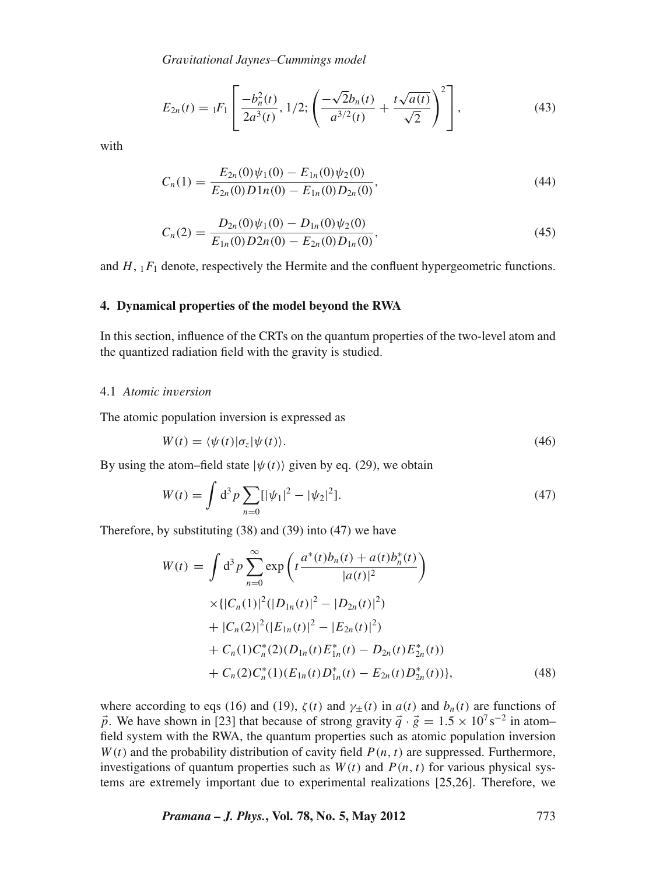*Gra*v*itational Jaynes–Cummings model*

$$
E_{2n}(t) = {}_1F_1\left[\frac{-b_n^2(t)}{2a^3(t)}, 1/2; \left(\frac{-\sqrt{2}b_n(t)}{a^{3/2}(t)} + \frac{t\sqrt{a(t)}}{\sqrt{2}}\right)^2\right],\tag{43}
$$

with

$$
C_n(1) = \frac{E_{2n}(0)\psi_1(0) - E_{1n}(0)\psi_2(0)}{E_{2n}(0)D1n(0) - E_{1n}(0)D_{2n}(0)},
$$
\n(44)

$$
C_n(2) = \frac{D_{2n}(0)\psi_1(0) - D_{1n}(0)\psi_2(0)}{E_{1n}(0)D_{2n}(0) - E_{2n}(0)D_{1n}(0)},
$$
\n(45)

and  $H$ ,  $_1F_1$  denote, respectively the Hermite and the confluent hypergeometric functions.

# **4. Dynamical properties of the model beyond the RWA**

In this section, influence of the CRTs on the quantum properties of the two-level atom and the quantized radiation field with the gravity is studied.

#### 4.1 *Atomic in*v*ersion*

The atomic population inversion is expressed as

$$
W(t) = \langle \psi(t) | \sigma_z | \psi(t) \rangle.
$$
 (46)

By using the atom–field state  $|\psi(t)\rangle$  given by eq. (29), we obtain

$$
W(t) = \int d^3 p \sum_{n=0}^{\infty} [|\psi_1|^2 - |\psi_2|^2].
$$
 (47)

Therefore, by substituting (38) and (39) into (47) we have

$$
W(t) = \int d^3 p \sum_{n=0}^{\infty} \exp\left(t \frac{a^*(t)b_n(t) + a(t)b_n^*(t)}{|a(t)|^2}\right)
$$
  
\n
$$
\times \{|C_n(1)|^2 (|D_{1n}(t)|^2 - |D_{2n}(t)|^2)
$$
  
\n
$$
+ |C_n(2)|^2 (|E_{1n}(t)|^2 - |E_{2n}(t)|^2)
$$
  
\n
$$
+ C_n(1)C_n^*(2)(D_{1n}(t)E_{1n}^*(t) - D_{2n}(t)E_{2n}^*(t))
$$
  
\n
$$
+ C_n(2)C_n^*(1)(E_{1n}(t)D_{1n}^*(t) - E_{2n}(t)D_{2n}^*(t))
$$
, (48)

where according to eqs (16) and (19),  $\zeta(t)$  and  $\gamma_{\pm}(t)$  in  $a(t)$  and  $b_n(t)$  are functions of *p*. We have shown in [23] that because of strong gravity  $\vec{q} \cdot \vec{g} = 1.5 \times 10^{7} \text{s}^{-2}$  in atom– field system with the RWA, the quantum properties such as atomic population inversion  $W(t)$  and the probability distribution of cavity field  $P(n, t)$  are suppressed. Furthermore, investigations of quantum properties such as  $W(t)$  and  $P(n, t)$  for various physical systems are extremely important due to experimental realizations [25,26]. Therefore, we

*Pramana – J. Phys.***, Vol. 78, No. 5, May 2012** 773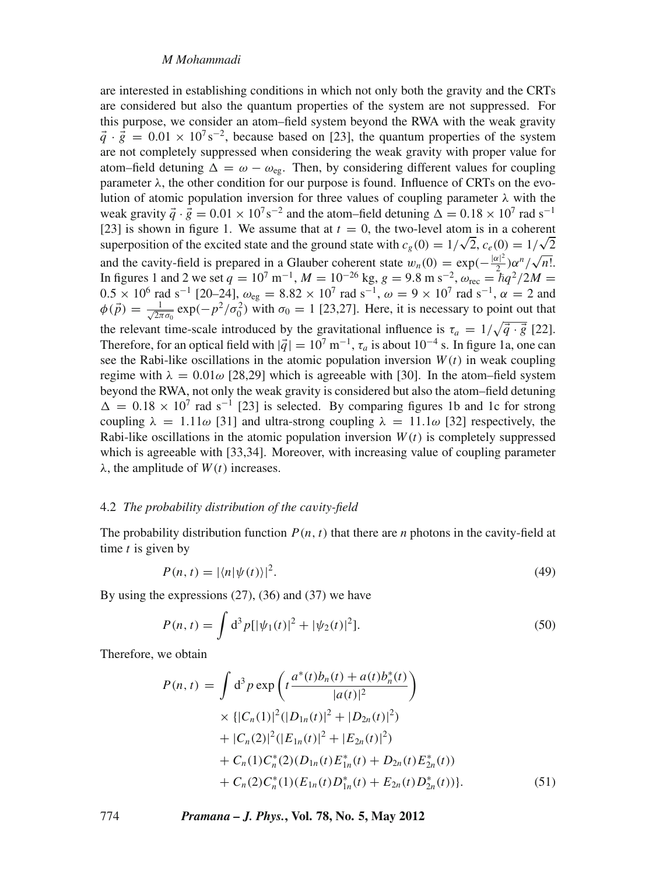are interested in establishing conditions in which not only both the gravity and the CRTs are considered but also the quantum properties of the system are not suppressed. For this purpose, we consider an atom–field system beyond the RWA with the weak gravity  $\vec{q} \cdot \vec{g} = 0.01 \times 10^{7} \text{ s}^{-2}$ , because based on [23], the quantum properties of the system are not completely suppressed when considering the weak gravity with proper value for atom–field detuning  $\Delta = \omega - \omega_{\text{eg}}$ . Then, by considering different values for coupling parameter  $\lambda$ , the other condition for our purpose is found. Influence of CRTs on the evolution of atomic population inversion for three values of coupling parameter  $\lambda$  with the weak gravity  $\vec{q} \cdot \vec{g} = 0.01 \times 10^{7} \text{ s}^{-2}$  and the atom–field detuning  $\Delta = 0.18 \times 10^{7} \text{ rad s}^{-1}$ [23] is shown in figure 1. We assume that at  $t = 0$ , the two-level atom is in a coherent  $[23]$  is shown in ligure 1. We assume that at  $t = 0$ , the two-level atom is in a conerent superposition of the excited state and the ground state with  $c_g(0) = 1/\sqrt{2}$ ,  $c_e(0) = 1/\sqrt{2}$ and the cavity-field is prepared in a Glauber coherent state  $w_n(0) = \exp(-\frac{|\alpha|^2}{2})\alpha^n/\sqrt{n!}$ . In figures 1 and 2 we set  $q = 10^7 \text{ m}^{-1}$ ,  $M = 10^{-26} \text{ kg}$ ,  $g = 9.8 \text{ m s}^{-2}$ ,  $\omega_{\text{rec}} = \hbar q^2 / 2M =$  $0.5 \times 10^6$  rad s<sup>-1</sup> [20–24],  $ω_{eg} = 8.82 \times 10^7$  rad s<sup>-1</sup>,  $ω = 9 \times 10^7$  rad s<sup>-1</sup>, α = 2 and  $\phi(\vec{p}) = \frac{1}{\sqrt{2\pi}}$  $\frac{1}{2\pi\sigma_0}$  exp( $-p^2/\sigma_0^2$ ) with  $\sigma_0 = 1$  [23,27]. Here, it is necessary to point out that the relevant time-scale introduced by the gravitational influence is  $\tau_a = 1/\sqrt{\vec{q} \cdot \vec{g}}$  [22]. Therefore, for an optical field with  $|\vec{q}| = 10^7 \text{ m}^{-1}$ ,  $\tau_a$  is about 10<sup>-4</sup> s. In figure 1a, one can see the Rabi-like oscillations in the atomic population inversion  $W(t)$  in weak coupling regime with  $\lambda = 0.01\omega$  [28,29] which is agreeable with [30]. In the atom-field system beyond the RWA, not only the weak gravity is considered but also the atom–field detuning  $\Delta = 0.18 \times 10^7$  rad s<sup>-1</sup> [23] is selected. By comparing figures 1b and 1c for strong coupling  $\lambda = 1.11\omega$  [31] and ultra-strong coupling  $\lambda = 11.1\omega$  [32] respectively, the Rabi-like oscillations in the atomic population inversion *W*(*t*) is completely suppressed which is agreeable with [33,34]. Moreover, with increasing value of coupling parameter  $\lambda$ , the amplitude of  $W(t)$  increases.

#### 4.2 *The probability distribution of the ca*v*ity-field*

The probability distribution function  $P(n, t)$  that there are *n* photons in the cavity-field at time *t* is given by

$$
P(n,t) = |\langle n|\psi(t)\rangle|^2.
$$
\n(49)

By using the expressions  $(27)$ ,  $(36)$  and  $(37)$  we have

$$
P(n,t) = \int d^3p [|\psi_1(t)|^2 + |\psi_2(t)|^2].
$$
 (50)

Therefore, we obtain

$$
P(n, t) = \int d^3 p \exp\left(t \frac{a^*(t)b_n(t) + a(t)b_n^*(t)}{|a(t)|^2}\right)
$$
  
 
$$
\times \{|C_n(1)|^2 (|D_{1n}(t)|^2 + |D_{2n}(t)|^2)
$$
  
 
$$
+ |C_n(2)|^2 (|E_{1n}(t)|^2 + |E_{2n}(t)|^2)
$$
  
 
$$
+ C_n(1)C_n^*(2)(D_{1n}(t)E_{1n}^*(t) + D_{2n}(t)E_{2n}^*(t))
$$
  
 
$$
+ C_n(2)C_n^*(1)(E_{1n}(t)D_{1n}^*(t) + E_{2n}(t)D_{2n}^*(t))\}.
$$
 (51)

774 *Pramana – J. Phys.***, Vol. 78, No. 5, May 2012**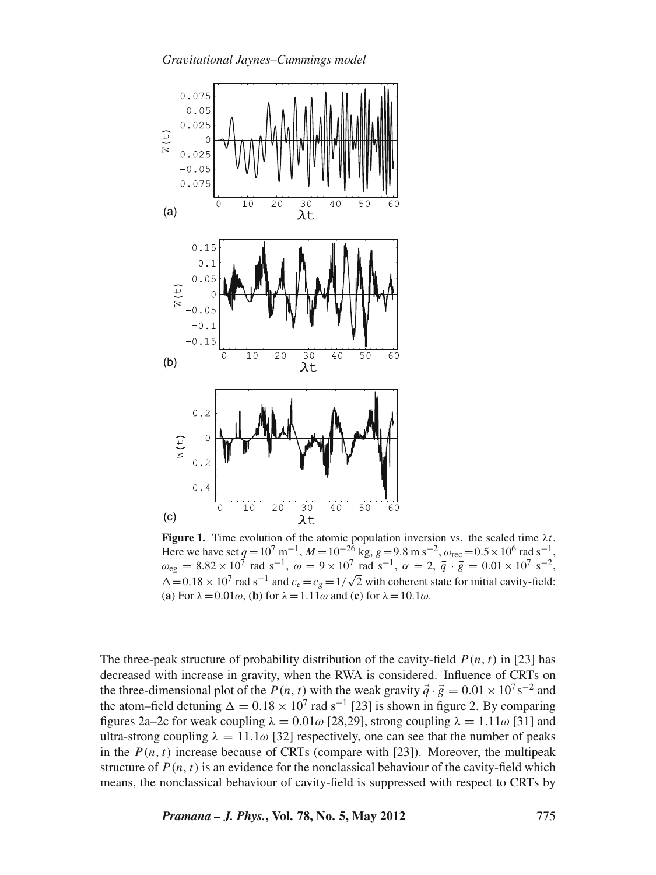

**Figure 1.** Time evolution of the atomic population inversion vs. the scaled time  $\lambda t$ . Here we have set  $q = 10^7 \text{ m}^{-1}$ ,  $M = 10^{-26} \text{ kg}$ ,  $g = 9.8 \text{ m s}^{-2}$ ,  $\omega_{\text{rec}} = 0.5 \times 10^6 \text{ rad s}^{-1}$ ,  $\omega_{eg} = 8.82 \times 10^7$  rad s<sup>-1</sup>,  $\omega = 9 \times 10^7$  rad s<sup>-1</sup>,  $\alpha = 2$ ,  $\vec{q} \cdot \vec{g} = 0.01 \times 10^7$  s<sup>-2</sup>,  $\Delta = 0.18 \times 10^7$  rad s<sup>-1</sup> and  $c_e = c_g = 1/\sqrt{2}$  with coherent state for initial cavity-field: (**a**) For  $\lambda = 0.01\omega$ , (**b**) for  $\lambda = 1.11\omega$  and (**c**) for  $\lambda = 10.1\omega$ .

The three-peak structure of probability distribution of the cavity-field  $P(n, t)$  in [23] has decreased with increase in gravity, when the RWA is considered. Influence of CRTs on the three-dimensional plot of the *P*(*n*, *t*) with the weak gravity  $\vec{q} \cdot \vec{g} = 0.01 \times 10^{7} \text{ s}^{-2}$  and the atom–field detuning  $\Delta = 0.18 \times 10^7$  rad s<sup>-1</sup> [23] is shown in figure 2. By comparing figures 2a–2c for weak coupling  $\lambda = 0.01\omega$  [28,29], strong coupling  $\lambda = 1.11\omega$  [31] and ultra-strong coupling  $\lambda = 11.1\omega$  [32] respectively, one can see that the number of peaks in the  $P(n, t)$  increase because of CRTs (compare with [23]). Moreover, the multipeak structure of  $P(n, t)$  is an evidence for the nonclassical behaviour of the cavity-field which means, the nonclassical behaviour of cavity-field is suppressed with respect to CRTs by

*Pramana – J. Phys.***, Vol. 78, No. 5, May 2012** 775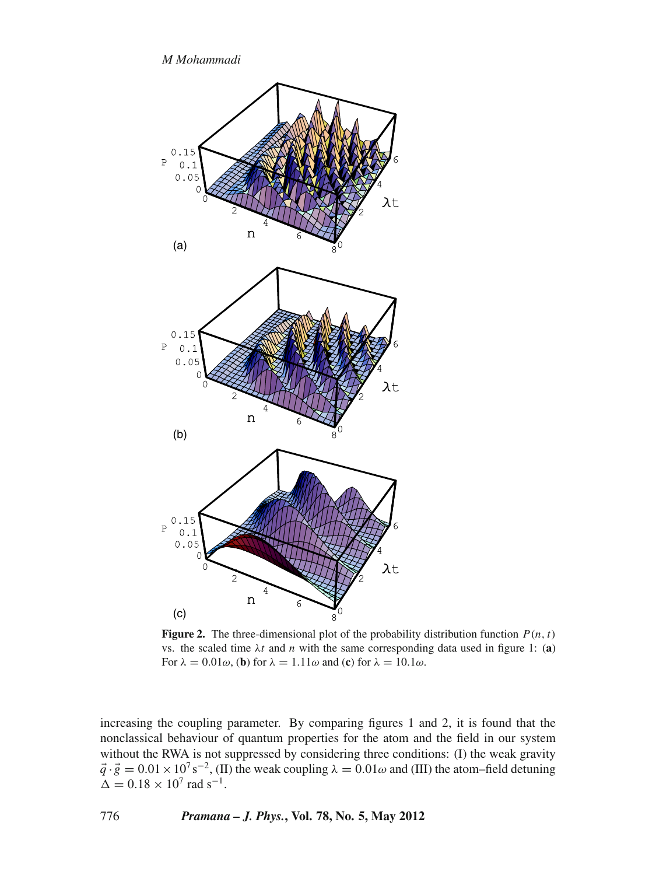*M Mohammadi*



**Figure 2.** The three-dimensional plot of the probability distribution function  $P(n, t)$ vs. the scaled time  $\lambda t$  and *n* with the same corresponding data used in figure 1: (a) For  $\lambda = 0.01\omega$ , (**b**) for  $\lambda = 1.11\omega$  and (**c**) for  $\lambda = 10.1\omega$ .

increasing the coupling parameter. By comparing figures 1 and 2, it is found that the nonclassical behaviour of quantum properties for the atom and the field in our system without the RWA is not suppressed by considering three conditions: (I) the weak gravity  $\vec{q} \cdot \vec{g} = 0.01 \times 10^7 \text{ s}^{-2}$ , (II) the weak coupling  $\lambda = 0.01 \omega$  and (III) the atom–field detuning  $\Delta = 0.18 \times 10^7$  rad s<sup>-1</sup>.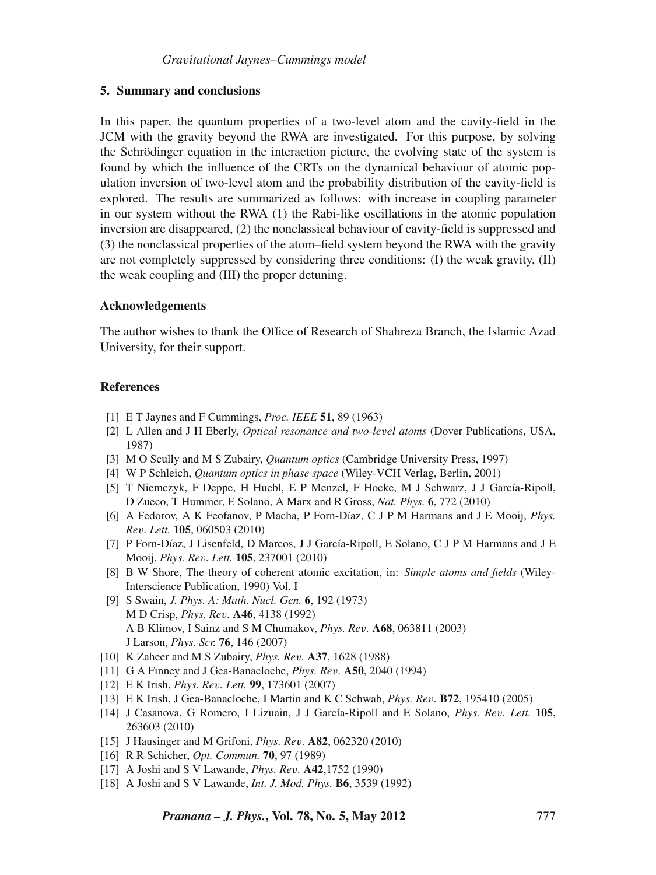#### **5. Summary and conclusions**

In this paper, the quantum properties of a two-level atom and the cavity-field in the JCM with the gravity beyond the RWA are investigated. For this purpose, by solving the Schrödinger equation in the interaction picture, the evolving state of the system is found by which the influence of the CRTs on the dynamical behaviour of atomic population inversion of two-level atom and the probability distribution of the cavity-field is explored. The results are summarized as follows: with increase in coupling parameter in our system without the RWA (1) the Rabi-like oscillations in the atomic population inversion are disappeared, (2) the nonclassical behaviour of cavity-field is suppressed and (3) the nonclassical properties of the atom–field system beyond the RWA with the gravity are not completely suppressed by considering three conditions:  $(I)$  the weak gravity,  $(II)$ the weak coupling and (III) the proper detuning.

#### **Acknowledgements**

The author wishes to thank the Office of Research of Shahreza Branch, the Islamic Azad University, for their support.

#### **References**

- [1] E T Jaynes and F Cummings, *Proc. IEEE* **51**, 89 (1963)
- [2] L Allen and J H Eberly, *Optical resonance and two-le*v*el atoms* (Dover Publications, USA, 1987)
- [3] M O Scully and M S Zubairy, *Quantum optics* (Cambridge University Press, 1997)
- [4] W P Schleich, *Quantum optics in phase space* (Wiley-VCH Verlag, Berlin, 2001)
- [5] T Niemczyk, F Deppe, H Huebl, E P Menzel, F Hocke, M J Schwarz, J J García-Ripoll, D Zueco, T Hummer, E Solano, A Marx and R Gross, *Nat. Phys.* **6**, 772 (2010)
- [6] A Fedorov, A K Feofanov, P Macha, P Forn-Díaz, C J P M Harmans and J E Mooij, *Phys. Re*v*. Lett.* **105**, 060503 (2010)
- [7] P Forn-Díaz, J Lisenfeld, D Marcos, J J García-Ripoll, E Solano, C J P M Harmans and J E Mooij, *Phys. Re*v*. Lett.* **105**, 237001 (2010)
- [8] B W Shore, The theory of coherent atomic excitation, in: *Simple atoms and fields* (Wiley-Interscience Publication, 1990) Vol. I
- [9] S Swain, *J. Phys. A: Math. Nucl. Gen.* **6**, 192 (1973) M D Crisp, *Phys. Re*v*.* **A46**, 4138 (1992) A B Klimov, I Sainz and S M Chumakov, *Phys. Re*v*.* **A68**, 063811 (2003) J Larson, *Phys. Scr.* **76**, 146 (2007)
- [10] K Zaheer and M S Zubairy, *Phys. Re*v*.* **A37**, 1628 (1988)
- [11] G A Finney and J Gea-Banacloche, *Phys. Re*v*.* **A50**, 2040 (1994)
- [12] E K Irish, *Phys. Re*v*. Lett.* **99**, 173601 (2007)
- [13] E K Irish, J Gea-Banacloche, I Martin and K C Schwab, *Phys. Re*v*.* **B72**, 195410 (2005)
- [14] J Casanova, G Romero, I Lizuain, J J García-Ripoll and E Solano, *Phys. Re*v*. Lett.* **105**, 263603 (2010)
- [15] J Hausinger and M Grifoni, *Phys. Re*v*.* **A82**, 062320 (2010)
- [16] R R Schicher, *Opt. Commun.* **70**, 97 (1989)
- [17] A Joshi and S V Lawande, *Phys. Re*v*.* **A42**,1752 (1990)
- [18] A Joshi and S V Lawande, *Int. J. Mod. Phys.* **B6**, 3539 (1992)

*Pramana – J. Phys.***, Vol. 78, No. 5, May 2012** 777